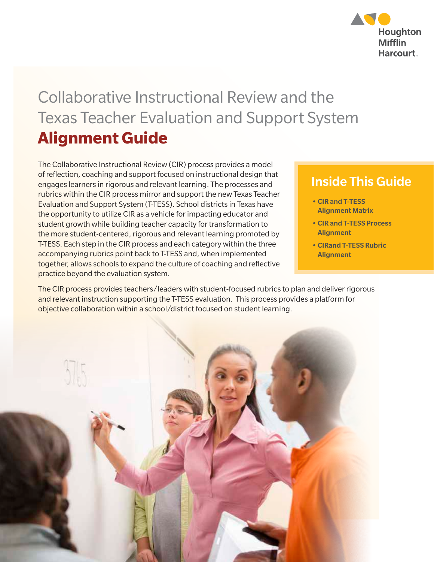

## Collaborative Instructional Review and the Texas Teacher Evaluation and Support System **Alignment Guide**

The Collaborative Instructional Review (CIR) process provides a model of reflection, coaching and support focused on instructional design that engages learners in rigorous and relevant learning. The processes and rubrics within the CIR process mirror and support the new Texas Teacher Evaluation and Support System (T-TESS). School districts in Texas have the opportunity to utilize CIR as a vehicle for impacting educator and student growth while building teacher capacity for transformation to the more student-centered, rigorous and relevant learning promoted by T-TESS. Each step in the CIR process and each category within the three accompanying rubrics point back to T-TESS and, when implemented together, allows schools to expand the culture of coaching and reflective practice beyond the evaluation system.

#### Inside This Guide

- CIR and T-TESS Alignment Matrix
- CIR and T-TESS Process **Alignment**
- CIRand T-TESS Rubric **Alignment**

The CIR process provides teachers/leaders with student-focused rubrics to plan and deliver rigorous and relevant instruction supporting the T-TESS evaluation. This process provides a platform for objective collaboration within a school/district focused on student learning.

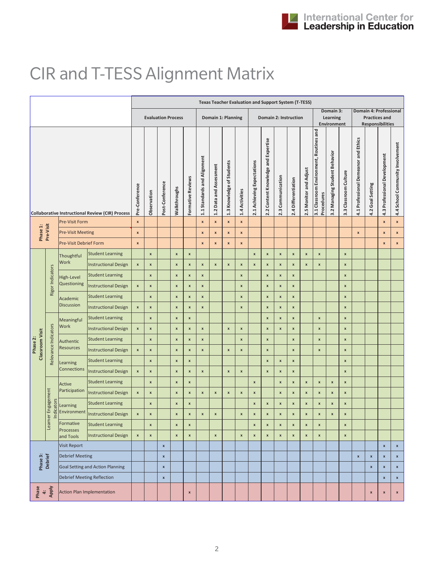# CIR and T-TESS Alignment Matrix

|                                                         |                      |                                   |                                         | <b>Texas Teacher Evaluation and Support System (T-TESS)</b> |                           |                          |                             |                         |                           |                    |                            |                                     |                       |                     |                        |                                                       |                               |                                      |                                      |                           |                              |                                                                           |                    |                    |
|---------------------------------------------------------|----------------------|-----------------------------------|-----------------------------------------|-------------------------------------------------------------|---------------------------|--------------------------|-----------------------------|-------------------------|---------------------------|--------------------|----------------------------|-------------------------------------|-----------------------|---------------------|------------------------|-------------------------------------------------------|-------------------------------|--------------------------------------|--------------------------------------|---------------------------|------------------------------|---------------------------------------------------------------------------|--------------------|--------------------|
|                                                         |                      |                                   |                                         |                                                             | <b>Evaluation Process</b> |                          |                             |                         |                           | Domain 1: Planning |                            |                                     | Domain 2: Instruction |                     |                        |                                                       |                               | Domain 3:<br>Learning<br>Environment |                                      |                           |                              | Domain 4: Professional<br><b>Practices and</b><br><b>Responsibilities</b> |                    |                    |
| <b>Collaborative Instructional Review (CIR) Process</b> |                      | Pre-Conference                    | Observation                             | Post-Conference                                             | Walkthroughs              | <b>Formative Reviews</b> | 1.1 Standards and Alignment | 1.2 Data and Assessment | 1.3 Knowledge of Students | 1.4 Activities     | 2.1 Achieving Expectations | 2.2 Content Knowledge and Expertise | 2.3 Communication     | 2.4 Differentiation | 2.5 Monitor and Adjust | 3.1 Classroom Environment, Routines and<br>Procedures | 3.2 Managing Student Behavior | 3.3 Classroom Culture                | 4.1 Professional Demeanor and Ethics | 4.2 Goal Setting          | 4.3 Professional Development | 4.4 School Community Involvement                                          |                    |                    |
|                                                         |                      | <b>Pre-Visit Form</b>             |                                         | $\pmb{\mathsf{x}}$                                          |                           |                          |                             |                         | $\pmb{\times}$            | $\pmb{\mathsf{x}}$ | $\pmb{\mathsf{x}}$         | $\pmb{\mathsf{x}}$                  |                       |                     |                        |                                                       |                               |                                      |                                      |                           |                              |                                                                           | $\pmb{\mathsf{x}}$ | $\pmb{\mathsf{x}}$ |
| Phase 1:                                                | Pre-Visit            | <b>Pre-Visit Meeting</b>          |                                         | X                                                           |                           |                          |                             |                         | $\pmb{\times}$            | $\pmb{\mathsf{x}}$ | x                          | $\pmb{\mathsf{x}}$                  |                       |                     |                        |                                                       |                               |                                      |                                      |                           | $\pmb{\mathsf{x}}$           |                                                                           | $\pmb{\mathsf{x}}$ | $\pmb{\mathsf{x}}$ |
|                                                         |                      | <b>Pre-Visit Debrief Form</b>     |                                         | $\pmb{\mathsf{x}}$                                          |                           |                          |                             |                         | $\pmb{\mathsf{x}}$        | $\pmb{\times}$     | X                          | $\pmb{\mathsf{x}}$                  |                       |                     |                        |                                                       |                               |                                      |                                      |                           |                              |                                                                           | $\pmb{\mathsf{x}}$ | $\pmb{\mathsf{x}}$ |
|                                                         |                      | Thoughtful<br>Work                | <b>Student Learning</b>                 |                                                             | $\pmb{\mathsf{x}}$        |                          | $\pmb{\times}$              | $\pmb{\times}$          |                           |                    |                            |                                     | $\pmb{\mathsf{x}}$    | $\pmb{\mathsf{x}}$  | $\pmb{\mathsf{x}}$     | $\pmb{\mathsf{x}}$                                    | $\pmb{\times}$                | $\pmb{\mathsf{x}}$                   |                                      | $\pmb{\times}$            |                              |                                                                           |                    |                    |
|                                                         |                      |                                   | <b>Instructional Design</b>             | $\pmb{\times}$                                              | $\pmb{\mathsf{x}}$        |                          | $\pmb{\mathsf{x}}$          | X                       | $\pmb{\mathsf{x}}$        | $\pmb{\times}$     | X                          | X                                   | $\pmb{\mathsf{x}}$    | X                   | $\pmb{\mathsf{x}}$     | X                                                     | $\pmb{\mathsf{x}}$            | $\pmb{\mathsf{x}}$                   |                                      | $\pmb{\mathsf{x}}$        |                              |                                                                           |                    |                    |
|                                                         |                      | <b>High-Level</b>                 | <b>Student Learning</b>                 |                                                             | $\pmb{\mathsf{x}}$        |                          | $\pmb{\times}$              | X                       | $\pmb{\times}$            |                    |                            | $\pmb{\mathsf{x}}$                  |                       | $\pmb{\mathsf{x}}$  | $\pmb{\mathsf{x}}$     | $\boldsymbol{x}$                                      |                               |                                      |                                      | $\pmb{\mathsf{x}}$        |                              |                                                                           |                    |                    |
|                                                         | Rigor Indicators     | Questioning                       | <b>Instructional Design</b>             | $\boldsymbol{\mathsf{x}}$                                   | $\pmb{\mathsf{x}}$        |                          | $\pmb{\times}$              | x                       | $\pmb{\mathsf{x}}$        |                    |                            | $\pmb{\mathsf{x}}$                  |                       | $\pmb{\mathsf{x}}$  | $\pmb{\times}$         | $\pmb{\mathsf{x}}$                                    |                               |                                      |                                      | $\pmb{\mathsf{x}}$        |                              |                                                                           |                    |                    |
|                                                         |                      | Academic                          | <b>Student Learning</b>                 |                                                             | $\pmb{\mathsf{x}}$        |                          | $\pmb{\mathsf{x}}$          | X                       | X                         |                    |                            | $\pmb{\mathsf{x}}$                  |                       | $\pmb{\mathsf{x}}$  | $\pmb{\mathsf{x}}$     | x                                                     |                               |                                      |                                      | $\pmb{\mathsf{x}}$        |                              |                                                                           |                    |                    |
|                                                         |                      | Discussion                        | <b>Instructional Design</b>             | $\boldsymbol{\mathsf{x}}$                                   | $\pmb{\mathsf{x}}$        |                          | $\pmb{\mathsf{x}}$          | X                       | X                         |                    |                            | $\pmb{\mathsf{x}}$                  |                       | $\pmb{\mathsf{x}}$  | $\pmb{\times}$         | $\pmb{\mathsf{x}}$                                    |                               |                                      |                                      | $\pmb{\times}$            |                              |                                                                           |                    |                    |
|                                                         |                      | Meaningful<br>Work                | <b>Student Learning</b>                 |                                                             | $\pmb{\mathsf{x}}$        |                          | $\pmb{\times}$              | X                       |                           |                    |                            |                                     |                       | $\pmb{\mathsf{x}}$  | $\pmb{\mathsf{x}}$     | $\boldsymbol{x}$                                      |                               | $\pmb{\mathsf{x}}$                   |                                      | $\pmb{\times}$            |                              |                                                                           |                    |                    |
|                                                         |                      |                                   | <b>Instructional Design</b>             | $\boldsymbol{\mathsf{x}}$                                   | $\pmb{\mathsf{x}}$        |                          | $\pmb{\mathsf{x}}$          | X                       | $\pmb{\mathsf{x}}$        |                    | X                          | $\pmb{\mathsf{x}}$                  |                       | $\pmb{\mathsf{x}}$  | $\pmb{\mathsf{x}}$     | $\pmb{\mathsf{x}}$                                    |                               | $\pmb{\mathsf{x}}$                   |                                      | $\pmb{\mathsf{x}}$        |                              |                                                                           |                    |                    |
| <b>Classroom Visit</b><br>Phase 2:                      | Relevance Indicators | Authentic                         | <b>Student Learning</b>                 |                                                             | $\pmb{\mathsf{x}}$        |                          | $\pmb{\times}$              | X                       | $\pmb{\mathsf{x}}$        |                    |                            | $\pmb{\mathsf{x}}$                  |                       | $\pmb{\times}$      |                        | $\pmb{\mathsf{x}}$                                    |                               | $\pmb{\mathsf{x}}$                   |                                      | $\boldsymbol{\mathsf{x}}$ |                              |                                                                           |                    |                    |
|                                                         |                      | <b>Resources</b>                  | <b>Instructional Design</b>             | $\boldsymbol{\mathsf{x}}$                                   | $\pmb{\mathsf{x}}$        |                          | $\pmb{\times}$              | x                       | $\pmb{\times}$            |                    | X                          | $\pmb{\mathsf{x}}$                  |                       | $\pmb{\mathsf{x}}$  |                        | $\boldsymbol{\mathsf{x}}$                             |                               | $\pmb{\mathsf{x}}$                   |                                      | $\pmb{\mathsf{x}}$        |                              |                                                                           |                    |                    |
|                                                         |                      | Learning                          | <b>Student Learning</b>                 |                                                             | $\pmb{\mathsf{x}}$        |                          | $\pmb{\times}$              | x                       |                           |                    |                            |                                     |                       | $\pmb{\mathsf{x}}$  | $\pmb{\times}$         | $\pmb{\mathsf{x}}$                                    |                               |                                      |                                      | $\pmb{\mathsf{x}}$        |                              |                                                                           |                    |                    |
|                                                         |                      | <b>Connections</b>                | <b>Instructional Design</b>             | $\boldsymbol{\mathsf{x}}$                                   | $\pmb{\mathsf{x}}$        |                          | $\pmb{\times}$              | X                       | $\pmb{\times}$            |                    | X                          | $\pmb{\mathsf{x}}$                  |                       | $\pmb{\mathsf{x}}$  | $\pmb{\mathsf{x}}$     | $\pmb{\mathsf{x}}$                                    |                               |                                      |                                      | $\pmb{\mathsf{x}}$        |                              |                                                                           |                    |                    |
|                                                         |                      | Active                            | <b>Student Learning</b>                 |                                                             | $\pmb{\mathsf{x}}$        |                          | $\pmb{\times}$              | x                       |                           |                    |                            |                                     | $\pmb{\mathsf{x}}$    |                     | $\pmb{\mathsf{x}}$     | $\boldsymbol{\mathsf{x}}$                             | $\pmb{\mathsf{x}}$            | $\pmb{\mathsf{x}}$                   | $\pmb{\mathsf{x}}$                   | $\pmb{\mathsf{x}}$        |                              |                                                                           |                    |                    |
|                                                         |                      | Participation                     | <b>Instructional Design</b>             | $\pmb{\times}$                                              | $\pmb{\mathsf{x}}$        |                          | $\pmb{\mathsf{x}}$          | X                       | $\pmb{\times}$            | $\pmb{\times}$     | X                          | $\pmb{\mathsf{x}}$                  | $\pmb{\mathsf{x}}$    |                     | $\pmb{\mathsf{x}}$     | $\boldsymbol{\mathsf{x}}$                             | $\pmb{\mathsf{x}}$            | $\pmb{\mathsf{x}}$                   | $\pmb{\times}$                       | $\pmb{\mathsf{x}}$        |                              |                                                                           |                    |                    |
|                                                         | Engagement           | Learning                          | <b>Student Learning</b>                 |                                                             | $\pmb{\times}$            |                          | $\pmb{\times}$              | x                       |                           |                    |                            |                                     | $\pmb{\mathsf{x}}$    | $\pmb{\mathsf{x}}$  | $\pmb{\mathsf{x}}$     | $\boldsymbol{\mathsf{x}}$                             | $\pmb{\mathsf{x}}$            | $\pmb{\mathsf{x}}$                   | $\pmb{\times}$                       | $\pmb{\mathsf{x}}$        |                              |                                                                           |                    |                    |
|                                                         | <b>Indicators</b>    |                                   | Environment  Instructional Design       | $\mathbf{x}$                                                | $\boldsymbol{x}$          |                          | $\pmb{\mathsf{x}}$          | $\pmb{\mathsf{x}}$      | $\pmb{\mathsf{x}}$        | $\pmb{\mathsf{x}}$ |                            | $\pmb{\mathsf{x}}$                  | $\boldsymbol{x}$      | $\pmb{\mathsf{x}}$  | $\pmb{\times}$         | $\pmb{\mathsf{x}}$                                    | $\pmb{\mathsf{x}}$            | $\pmb{\mathsf{x}}$                   | $\pmb{\mathsf{x}}$                   | $\pmb{\mathsf{x}}$        |                              |                                                                           |                    |                    |
|                                                         | Learner              | Formative                         | <b>Student Learning</b>                 |                                                             | $\pmb{\mathsf{x}}$        |                          | $\pmb{\mathsf{x}}$          | $\pmb{\mathsf{x}}$      |                           |                    |                            |                                     | $\pmb{\mathsf{x}}$    | $\pmb{\mathsf{x}}$  | $\pmb{\mathsf{x}}$     | $\pmb{\mathsf{x}}$                                    | $\pmb{\mathsf{x}}$            | $\pmb{\mathsf{x}}$                   |                                      | $\pmb{\times}$            |                              |                                                                           |                    |                    |
|                                                         |                      | Processes<br>and Tools            | <b>Instructional Design</b>             | $\pmb{\times}$                                              | $\pmb{\mathsf{x}}$        |                          | $\pmb{\times}$              | $\pmb{\mathsf{x}}$      |                           | $\pmb{\times}$     |                            | $\pmb{\mathsf{x}}$                  | $\pmb{\mathsf{x}}$    | $\pmb{\mathsf{x}}$  | $\pmb{\mathsf{x}}$     | $\pmb{\mathsf{x}}$                                    | $\pmb{\mathsf{x}}$            | $\pmb{\mathsf{x}}$                   |                                      | $\pmb{\mathsf{x}}$        |                              |                                                                           |                    |                    |
|                                                         |                      | Visit Report                      |                                         |                                                             |                           | $\pmb{\mathsf{x}}$       |                             |                         |                           |                    |                            |                                     |                       |                     |                        |                                                       |                               |                                      |                                      |                           |                              |                                                                           | $\pmb{\times}$     | $\pmb{\mathsf{x}}$ |
|                                                         |                      | <b>Debrief Meeting</b>            |                                         |                                                             |                           | $\pmb{\mathsf{x}}$       |                             |                         |                           |                    |                            |                                     |                       |                     |                        |                                                       |                               |                                      |                                      |                           | $\pmb{\mathsf{x}}$           | $\pmb{\mathsf{x}}$                                                        | $\pmb{\times}$     | $\pmb{\mathsf{x}}$ |
|                                                         | Phase 3:<br>Debrief  |                                   | <b>Goal Setting and Action Planning</b> |                                                             |                           | $\pmb{\mathsf{x}}$       |                             |                         |                           |                    |                            |                                     |                       |                     |                        |                                                       |                               |                                      |                                      |                           |                              | $\pmb{\mathsf{x}}$                                                        | $\pmb{\mathsf{x}}$ | $\pmb{\mathsf{x}}$ |
|                                                         |                      | <b>Debrief Meeting Reflection</b> |                                         |                                                             |                           | $\pmb{\mathsf{x}}$       |                             |                         |                           |                    |                            |                                     |                       |                     |                        |                                                       |                               |                                      |                                      |                           |                              |                                                                           | $\pmb{\mathsf{x}}$ | $\pmb{\mathsf{x}}$ |
| Phase<br>4:<br>Apply                                    |                      |                                   | Action Plan Implementation              |                                                             |                           |                          |                             | $\pmb{\mathsf{x}}$      |                           |                    |                            |                                     |                       |                     |                        |                                                       |                               |                                      |                                      |                           |                              | $\pmb{\mathsf{x}}$                                                        | $\pmb{\mathsf{x}}$ | $\pmb{\mathsf{x}}$ |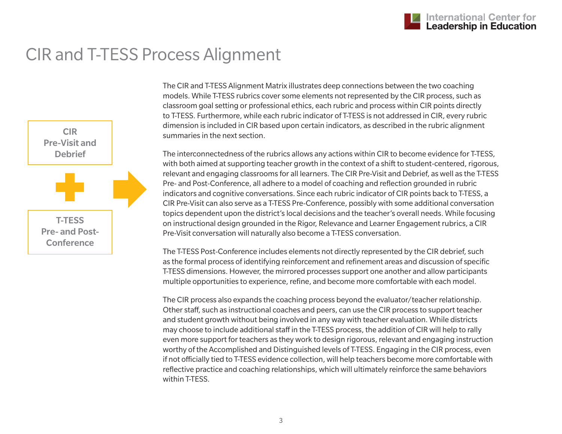#### CIR and T-TESS Process Alignment



The CIR and T-TESS Alignment Matrix illustrates deep connections between the two coaching models. While T-TESS rubrics cover some elements not represented by the CIR process, such as classroom goal setting or professional ethics, each rubric and process within CIR points directly to T-TESS. Furthermore, while each rubric indicator of T-TESS is not addressed in CIR, every rubric dimension is included in CIR based upon certain indicators, as described in the rubric alignment summaries in the next section.

The interconnectedness of the rubrics allows any actions within CIR to become evidence for T-TESS, with both aimed at supporting teacher growth in the context of a shift to student-centered, rigorous, relevant and engaging classrooms for all learners. The CIR Pre-Visit and Debrief, as well as the T-TESS Pre- and Post-Conference, all adhere to a model of coaching and reflection grounded in rubric indicators and cognitive conversations. Since each rubric indicator of CIR points back to T-TESS, a CIR Pre-Visit can also serve as a T-TESS Pre-Conference, possibly with some additional conversation topics dependent upon the district's local decisions and the teacher's overall needs. While focusing on instructional design grounded in the Rigor, Relevance and Learner Engagement rubrics, a CIR Pre-Visit conversation will naturally also become a T-TESS conversation.

The T-TESS Post-Conference includes elements not directly represented by the CIR debrief, such as the formal process of identifying reinforcement and refinement areas and discussion of specific T-TESS dimensions. However, the mirrored processes support one another and allow participants multiple opportunities to experience, refine, and become more comfortable with each model.

The CIR process also expands the coaching process beyond the evaluator/teacher relationship. Other staff, such as instructional coaches and peers, can use the CIR process to support teacher and student growth without being involved in any way with teacher evaluation. While districts may choose to include additional staff in the T-TESS process, the addition of CIR will help to rally even more support for teachers as they work to design rigorous, relevant and engaging instruction worthy of the Accomplished and Distinguished levels of T-TESS. Engaging in the CIR process, even if not officially tied to T-TESS evidence collection, will help teachers become more comfortable with reflective practice and coaching relationships, which will ultimately reinforce the same behaviors within T-TESS.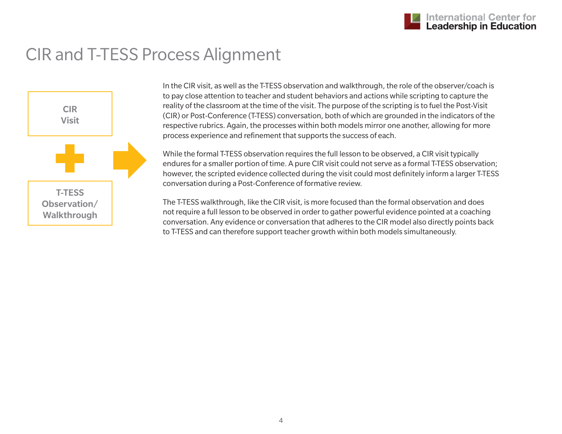#### CIR and T-TESS Process Alignment



In the CIR visit, as well as the T-TESS observation and walkthrough, the role of the observer/coach is to pay close attention to teacher and student behaviors and actions while scripting to capture the reality of the classroom at the time of the visit. The purpose of the scripting is to fuel the Post-Visit (CIR) or Post-Conference (T-TESS) conversation, both of which are grounded in the indicators of the respective rubrics. Again, the processes within both models mirror one another, allowing for more process experience and refinement that supports the success of each.

While the formal T-TESS observation requires the full lesson to be observed, a CIR visit typically endures for a smaller portion of time. A pure CIR visit could not serve as a formal T-TESS observation; however, the scripted evidence collected during the visit could most definitely inform a larger T-TESS conversation during a Post-Conference of formative review.

The T-TESS walkthrough, like the CIR visit, is more focused than the formal observation and does not require a full lesson to be observed in order to gather powerful evidence pointed at a coaching conversation. Any evidence or conversation that adheres to the CIR model also directly points back to T-TESS and can therefore support teacher growth within both models simultaneously.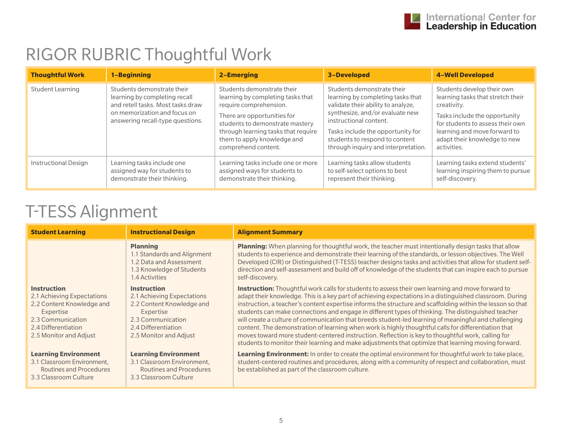## RIGOR RUBRIC Thoughtful Work

| <b>Thoughtful Work</b>      | 1-Beginning                                                                                                                                                          | 2-Emerging                                                                                                                                                                                                                                               | 3-Developed                                                                                                                                                                                                                                                                      | <b>4-Well Developed</b>                                                                                                                                                                                                            |
|-----------------------------|----------------------------------------------------------------------------------------------------------------------------------------------------------------------|----------------------------------------------------------------------------------------------------------------------------------------------------------------------------------------------------------------------------------------------------------|----------------------------------------------------------------------------------------------------------------------------------------------------------------------------------------------------------------------------------------------------------------------------------|------------------------------------------------------------------------------------------------------------------------------------------------------------------------------------------------------------------------------------|
| Student Learning            | Students demonstrate their<br>learning by completing recall<br>and retell tasks. Most tasks draw<br>on memorization and focus on<br>answering recall-type questions. | Students demonstrate their<br>learning by completing tasks that<br>require comprehension.<br>There are opportunities for<br>students to demonstrate mastery<br>through learning tasks that require<br>them to apply knowledge and<br>comprehend content. | Students demonstrate their<br>learning by completing tasks that<br>validate their ability to analyze,<br>synthesize, and/or evaluate new<br>instructional content.<br>Tasks include the opportunity for<br>students to respond to content<br>through inquiry and interpretation. | Students develop their own<br>learning tasks that stretch their<br>creativity.<br>Tasks include the opportunity<br>for students to assess their own<br>learning and move forward to<br>adapt their knowledge to new<br>activities. |
| <b>Instructional Design</b> | Learning tasks include one<br>assigned way for students to<br>demonstrate their thinking.                                                                            | Learning tasks include one or more<br>assigned ways for students to<br>demonstrate their thinking.                                                                                                                                                       | Learning tasks allow students<br>to self-select options to best<br>represent their thinking.                                                                                                                                                                                     | Learning tasks extend students'<br>learning inspiring them to pursue<br>self-discovery.                                                                                                                                            |

| <b>Student Learning</b>                                                                                                                                          | <b>Instructional Design</b>                                                                                                                                      | <b>Alignment Summary</b>                                                                                                                                                                                                                                                                                                                                                                                                                                                                                                                                                                                                                                                                                                                                                                                                                                             |
|------------------------------------------------------------------------------------------------------------------------------------------------------------------|------------------------------------------------------------------------------------------------------------------------------------------------------------------|----------------------------------------------------------------------------------------------------------------------------------------------------------------------------------------------------------------------------------------------------------------------------------------------------------------------------------------------------------------------------------------------------------------------------------------------------------------------------------------------------------------------------------------------------------------------------------------------------------------------------------------------------------------------------------------------------------------------------------------------------------------------------------------------------------------------------------------------------------------------|
|                                                                                                                                                                  | <b>Planning</b><br>1.1 Standards and Alignment<br>1.2 Data and Assessment<br>1.3 Knowledge of Students<br>1.4 Activities                                         | <b>Planning:</b> When planning for thoughtful work, the teacher must intentionally design tasks that allow<br>students to experience and demonstrate their learning of the standards, or lesson objectives. The Well<br>Developed (CIR) or Distinguished (T-TESS) teacher designs tasks and activities that allow for student self-<br>direction and self-assessment and build off of knowledge of the students that can inspire each to pursue<br>self-discovery.                                                                                                                                                                                                                                                                                                                                                                                                   |
| <b>Instruction</b><br>2.1 Achieving Expectations<br>2.2 Content Knowledge and<br>Expertise<br>2.3 Communication<br>2.4 Differentiation<br>2.5 Monitor and Adjust | <b>Instruction</b><br>2.1 Achieving Expectations<br>2.2 Content Knowledge and<br>Expertise<br>2.3 Communication<br>2.4 Differentiation<br>2.5 Monitor and Adjust | <b>Instruction:</b> Thoughtful work calls for students to assess their own learning and move forward to<br>adapt their knowledge. This is a key part of achieving expectations in a distinguished classroom. During<br>instruction, a teacher's content expertise informs the structure and scaffolding within the lesson so that<br>students can make connections and engage in different types of thinking. The distinguished teacher<br>will create a culture of communication that breeds student-led learning of meaningful and challenging<br>content. The demonstration of learning when work is highly thoughtful calls for differentiation that<br>moves toward more student-centered instruction. Reflection is key to thoughtful work, calling for<br>students to monitor their learning and make adjustments that optimize that learning moving forward. |
| <b>Learning Environment</b><br>3.1 Classroom Environment,<br>Routines and Procedures<br>3.3 Classroom Culture                                                    | <b>Learning Environment</b><br>3.1 Classroom Environment,<br>Routines and Procedures<br>3.3 Classroom Culture                                                    | Learning Environment: In order to create the optimal environment for thoughtful work to take place,<br>student-centered routines and procedures, along with a community of respect and collaboration, must<br>be established as part of the classroom culture.                                                                                                                                                                                                                                                                                                                                                                                                                                                                                                                                                                                                       |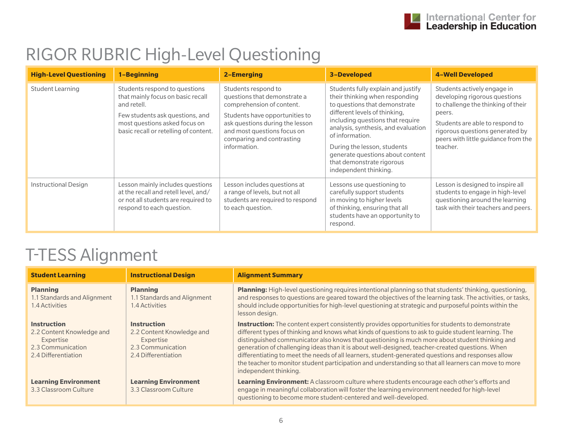## RIGOR RUBRIC High-Level Questioning

| <b>High-Level Questioning</b> | 1-Beginning                                                                                                                                                                                    | 2-Emerging                                                                                                                                                                                                                        | <b>3-Developed</b>                                                                                                                                                                                                                                                                                                                                            | <b>4-Well Developed</b>                                                                                                                                                                                                               |
|-------------------------------|------------------------------------------------------------------------------------------------------------------------------------------------------------------------------------------------|-----------------------------------------------------------------------------------------------------------------------------------------------------------------------------------------------------------------------------------|---------------------------------------------------------------------------------------------------------------------------------------------------------------------------------------------------------------------------------------------------------------------------------------------------------------------------------------------------------------|---------------------------------------------------------------------------------------------------------------------------------------------------------------------------------------------------------------------------------------|
| Student Learning              | Students respond to questions<br>that mainly focus on basic recall<br>and retell.<br>Few students ask questions, and<br>most questions asked focus on<br>basic recall or retelling of content. | Students respond to<br>questions that demonstrate a<br>comprehension of content.<br>Students have opportunities to<br>ask questions during the lesson<br>and most questions focus on<br>comparing and contrasting<br>information. | Students fully explain and justify<br>their thinking when responding<br>to questions that demonstrate<br>different levels of thinking,<br>including questions that require<br>analysis, synthesis, and evaluation<br>of information.<br>During the lesson, students<br>generate questions about content<br>that demonstrate rigorous<br>independent thinking. | Students actively engage in<br>developing rigorous questions<br>to challenge the thinking of their<br>peers.<br>Students are able to respond to<br>rigorous questions generated by<br>peers with little guidance from the<br>teacher. |
| <b>Instructional Design</b>   | Lesson mainly includes questions<br>at the recall and retell level, and/<br>or not all students are required to<br>respond to each question.                                                   | Lesson includes questions at<br>a range of levels, but not all<br>students are required to respond<br>to each question.                                                                                                           | Lessons use questioning to<br>carefully support students<br>in moving to higher levels<br>of thinking, ensuring that all<br>students have an opportunity to<br>respond.                                                                                                                                                                                       | Lesson is designed to inspire all<br>students to engage in high-level<br>questioning around the learning<br>task with their teachers and peers.                                                                                       |

| <b>Student Learning</b>                                                                                  | <b>Instructional Design</b>                                                                              | <b>Alignment Summary</b>                                                                                                                                                                                                                                                                                                                                                                                                                                                                                                                                                                                                                                  |
|----------------------------------------------------------------------------------------------------------|----------------------------------------------------------------------------------------------------------|-----------------------------------------------------------------------------------------------------------------------------------------------------------------------------------------------------------------------------------------------------------------------------------------------------------------------------------------------------------------------------------------------------------------------------------------------------------------------------------------------------------------------------------------------------------------------------------------------------------------------------------------------------------|
| <b>Planning</b><br>1.1 Standards and Alignment<br>1.4 Activities                                         | <b>Planning</b><br>1.1 Standards and Alignment<br>.4 Activities                                          | Planning: High-level questioning requires intentional planning so that students' thinking, questioning,<br>and responses to questions are geared toward the objectives of the learning task. The activities, or tasks,<br>should include opportunities for high-level questioning at strategic and purposeful points within the<br>lesson design.                                                                                                                                                                                                                                                                                                         |
| <b>Instruction</b><br>2.2 Content Knowledge and<br>Expertise<br>2.3 Communication<br>2.4 Differentiation | <b>Instruction</b><br>2.2 Content Knowledge and<br>Expertise<br>2.3 Communication<br>2.4 Differentiation | <b>Instruction:</b> The content expert consistently provides opportunities for students to demonstrate<br>different types of thinking and knows what kinds of questions to ask to quide student learning. The<br>distinguished communicator also knows that questioning is much more about student thinking and<br>generation of challenging ideas than it is about well-designed, teacher-created questions. When<br>differentiating to meet the needs of all learners, student-generated questions and responses allow<br>the teacher to monitor student participation and understanding so that all learners can move to more<br>independent thinking. |
| <b>Learning Environment</b><br>3.3 Classroom Culture                                                     | <b>Learning Environment</b><br>3.3 Classroom Culture                                                     | <b>Learning Environment:</b> A classroom culture where students encourage each other's efforts and<br>engage in meaningful collaboration will foster the learning environment needed for high-level<br>questioning to become more student-centered and well-developed.                                                                                                                                                                                                                                                                                                                                                                                    |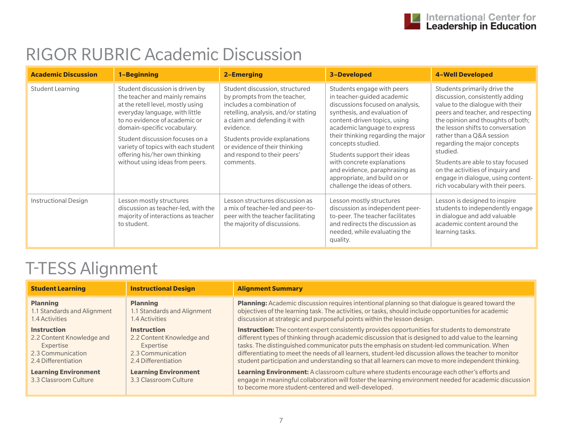## RIGOR RUBRIC Academic Discussion

| <b>Academic Discussion</b>  | 1-Beginning                                                                                                                                                                                                                                                                                                                                            | <b>2-Emerging</b>                                                                                                                                                                                                                                                                              | 3-Developed                                                                                                                                                                                                                                                                                                                                                                                                              | <b>4-Well Developed</b>                                                                                                                                                                                                                                                                                                                                                                                                                         |
|-----------------------------|--------------------------------------------------------------------------------------------------------------------------------------------------------------------------------------------------------------------------------------------------------------------------------------------------------------------------------------------------------|------------------------------------------------------------------------------------------------------------------------------------------------------------------------------------------------------------------------------------------------------------------------------------------------|--------------------------------------------------------------------------------------------------------------------------------------------------------------------------------------------------------------------------------------------------------------------------------------------------------------------------------------------------------------------------------------------------------------------------|-------------------------------------------------------------------------------------------------------------------------------------------------------------------------------------------------------------------------------------------------------------------------------------------------------------------------------------------------------------------------------------------------------------------------------------------------|
| <b>Student Learning</b>     | Student discussion is driven by<br>the teacher and mainly remains<br>at the retell level, mostly using<br>everyday language, with little<br>to no evidence of academic or<br>domain-specific vocabulary.<br>Student discussion focuses on a<br>variety of topics with each student<br>offering his/her own thinking<br>without using ideas from peers. | Student discussion, structured<br>by prompts from the teacher,<br>includes a combination of<br>retelling, analysis, and/or stating<br>a claim and defending it with<br>evidence.<br>Students provide explanations<br>or evidence of their thinking<br>and respond to their peers'<br>comments. | Students engage with peers<br>in teacher-guided academic<br>discussions focused on analysis,<br>synthesis, and evaluation of<br>content-driven topics, using<br>academic language to express<br>their thinking regarding the major<br>concepts studied.<br>Students support their ideas<br>with concrete explanations<br>and evidence, paraphrasing as<br>appropriate, and build on or<br>challenge the ideas of others. | Students primarily drive the<br>discussion, consistently adding<br>value to the dialogue with their<br>peers and teacher, and respecting<br>the opinion and thoughts of both;<br>the lesson shifts to conversation<br>rather than a Q&A session<br>regarding the major concepts<br>studied.<br>Students are able to stay focused<br>on the activities of inquiry and<br>engage in dialogue, using content-<br>rich vocabulary with their peers. |
| <b>Instructional Design</b> | Lesson mostly structures<br>discussion as teacher-led, with the<br>majority of interactions as teacher<br>to student.                                                                                                                                                                                                                                  | Lesson structures discussion as<br>a mix of teacher-led and peer-to-<br>peer with the teacher facilitating<br>the majority of discussions.                                                                                                                                                     | Lesson mostly structures<br>discussion as independent peer-<br>to-peer. The teacher facilitates<br>and redirects the discussion as<br>needed, while evaluating the<br>quality.                                                                                                                                                                                                                                           | Lesson is designed to inspire<br>students to independently engage<br>in dialogue and add valuable<br>academic content around the<br>learning tasks.                                                                                                                                                                                                                                                                                             |

| <b>Student Learning</b>                              | <b>Instructional Design</b>                          | <b>Alignment Summary</b>                                                                                                                                                                                                                                            |
|------------------------------------------------------|------------------------------------------------------|---------------------------------------------------------------------------------------------------------------------------------------------------------------------------------------------------------------------------------------------------------------------|
| <b>Planning</b>                                      | <b>Planning</b>                                      | Planning: Academic discussion requires intentional planning so that dialogue is geared toward the                                                                                                                                                                   |
| 1.1 Standards and Alignment                          | 1.1 Standards and Alignment                          | objectives of the learning task. The activities, or tasks, should include opportunities for academic                                                                                                                                                                |
| 1.4 Activities                                       | 1.4 Activities                                       | discussion at strategic and purposeful points within the lesson design.                                                                                                                                                                                             |
| <b>Instruction</b>                                   | <b>Instruction</b>                                   | Instruction: The content expert consistently provides opportunities for students to demonstrate                                                                                                                                                                     |
| 2.2 Content Knowledge and                            | 2.2 Content Knowledge and                            | different types of thinking through academic discussion that is designed to add value to the learning                                                                                                                                                               |
| Expertise                                            | Expertise                                            | tasks. The distinguished communicator puts the emphasis on student-led communication. When                                                                                                                                                                          |
| 2.3 Communication                                    | 2.3 Communication                                    | differentiating to meet the needs of all learners, student-led discussion allows the teacher to monitor                                                                                                                                                             |
| 2.4 Differentiation                                  | 2.4 Differentiation                                  | student participation and understanding so that all learners can move to more independent thinking.                                                                                                                                                                 |
| <b>Learning Environment</b><br>3.3 Classroom Culture | <b>Learning Environment</b><br>3.3 Classroom Culture | <b>Learning Environment:</b> A classroom culture where students encourage each other's efforts and<br>engage in meaningful collaboration will foster the learning environment needed for academic discussion<br>to become more student-centered and well-developed. |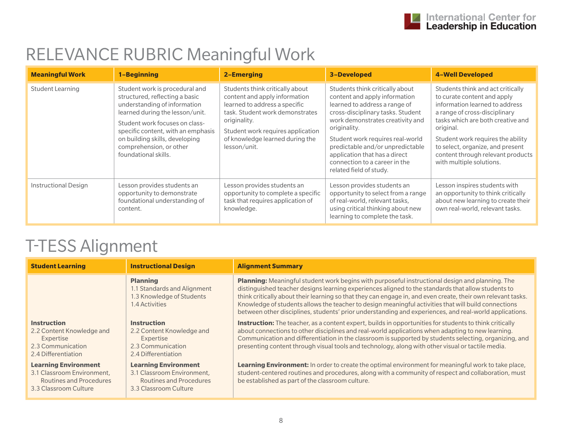### RELEVANCE RUBRIC Meaningful Work

| <b>Meaningful Work</b>      | 1-Beginning                                                                                                                                                                                                                                                                                      | <b>2-Emerging</b>                                                                                                                                                                                                                            | 3-Developed                                                                                                                                                                                                                                                                                                                                                     | <b>4-Well Developed</b>                                                                                                                                                                                                                                                                                                         |
|-----------------------------|--------------------------------------------------------------------------------------------------------------------------------------------------------------------------------------------------------------------------------------------------------------------------------------------------|----------------------------------------------------------------------------------------------------------------------------------------------------------------------------------------------------------------------------------------------|-----------------------------------------------------------------------------------------------------------------------------------------------------------------------------------------------------------------------------------------------------------------------------------------------------------------------------------------------------------------|---------------------------------------------------------------------------------------------------------------------------------------------------------------------------------------------------------------------------------------------------------------------------------------------------------------------------------|
| <b>Student Learning</b>     | Student work is procedural and<br>structured, reflecting a basic<br>understanding of information<br>learned during the lesson/unit.<br>Student work focuses on class-<br>specific content, with an emphasis<br>on building skills, developing<br>comprehension, or other<br>foundational skills. | Students think critically about<br>content and apply information<br>learned to address a specific<br>task. Student work demonstrates<br>originality.<br>Student work requires application<br>of knowledge learned during the<br>lesson/unit. | Students think critically about<br>content and apply information<br>learned to address a range of<br>cross-disciplinary tasks. Student<br>work demonstrates creativity and<br>originality.<br>Student work requires real-world<br>predictable and/or unpredictable<br>application that has a direct<br>connection to a career in the<br>related field of study. | Students think and act critically<br>to curate content and apply<br>information learned to address<br>a range of cross-disciplinary<br>tasks which are both creative and<br>original.<br>Student work requires the ability<br>to select, organize, and present<br>content through relevant products<br>with multiple solutions. |
| <b>Instructional Design</b> | Lesson provides students an<br>opportunity to demonstrate<br>foundational understanding of<br>content.                                                                                                                                                                                           | Lesson provides students an<br>opportunity to complete a specific<br>task that requires application of<br>knowledge.                                                                                                                         | Lesson provides students an<br>opportunity to select from a range<br>of real-world, relevant tasks,<br>using critical thinking about new<br>learning to complete the task.                                                                                                                                                                                      | Lesson inspires students with<br>an opportunity to think critically<br>about new learning to create their<br>own real-world, relevant tasks.                                                                                                                                                                                    |

| <b>Student Learning</b>                                                                                       | <b>Instructional Design</b>                                                                                   | <b>Alignment Summary</b>                                                                                                                                                                                                                                                                                                                                                                                                                                                                                                                |
|---------------------------------------------------------------------------------------------------------------|---------------------------------------------------------------------------------------------------------------|-----------------------------------------------------------------------------------------------------------------------------------------------------------------------------------------------------------------------------------------------------------------------------------------------------------------------------------------------------------------------------------------------------------------------------------------------------------------------------------------------------------------------------------------|
|                                                                                                               | <b>Planning</b><br>1.1 Standards and Alignment<br>1.3 Knowledge of Students<br>1.4 Activities                 | Planning: Meaningful student work begins with purposeful instructional design and planning. The<br>distinguished teacher designs learning experiences aligned to the standards that allow students to<br>think critically about their learning so that they can engage in, and even create, their own relevant tasks.<br>Knowledge of students allows the teacher to design meaningful activities that will build connections<br>between other disciplines, students' prior understanding and experiences, and real-world applications. |
| <b>Instruction</b><br>2.2 Content Knowledge and<br>Expertise<br>2.3 Communication<br>2.4 Differentiation      | <b>Instruction</b><br>2.2 Content Knowledge and<br>Expertise<br>2.3 Communication<br>2.4 Differentiation      | Instruction: The teacher, as a content expert, builds in opportunities for students to think critically<br>about connections to other disciplines and real-world applications when adapting to new learning.<br>Communication and differentiation in the classroom is supported by students selecting, organizing, and<br>presenting content through visual tools and technology, along with other visual or tactile media.                                                                                                             |
| <b>Learning Environment</b><br>3.1 Classroom Environment,<br>Routines and Procedures<br>3.3 Classroom Culture | <b>Learning Environment</b><br>3.1 Classroom Environment,<br>Routines and Procedures<br>3.3 Classroom Culture | Learning Environment: In order to create the optimal environment for meaningful work to take place,<br>student-centered routines and procedures, along with a community of respect and collaboration, must<br>be established as part of the classroom culture.                                                                                                                                                                                                                                                                          |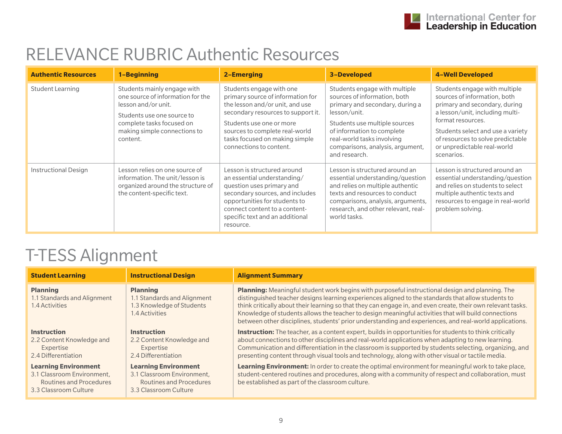#### RELEVANCE RUBRIC Authentic Resources

| <b>Authentic Resources</b>  | 1-Beginning                                                                                                                                                                                    | 2-Emerging                                                                                                                                                                                                                                                        | <b>3-Developed</b>                                                                                                                                                                                                                                                 | <b>4-Well Developed</b>                                                                                                                                                                                                                                                       |
|-----------------------------|------------------------------------------------------------------------------------------------------------------------------------------------------------------------------------------------|-------------------------------------------------------------------------------------------------------------------------------------------------------------------------------------------------------------------------------------------------------------------|--------------------------------------------------------------------------------------------------------------------------------------------------------------------------------------------------------------------------------------------------------------------|-------------------------------------------------------------------------------------------------------------------------------------------------------------------------------------------------------------------------------------------------------------------------------|
| Student Learning            | Students mainly engage with<br>one source of information for the<br>lesson and/or unit.<br>Students use one source to<br>complete tasks focused on<br>making simple connections to<br>content. | Students engage with one<br>primary source of information for<br>the lesson and/or unit, and use<br>secondary resources to support it.<br>Students use one or more<br>sources to complete real-world<br>tasks focused on making simple<br>connections to content. | Students engage with multiple<br>sources of information, both<br>primary and secondary, during a<br>lesson/unit.<br>Students use multiple sources<br>of information to complete<br>real-world tasks involving<br>comparisons, analysis, argument,<br>and research. | Students engage with multiple<br>sources of information, both<br>primary and secondary, during<br>a lesson/unit, including multi-<br>format resources.<br>Students select and use a variety<br>of resources to solve predictable<br>or unpredictable real-world<br>scenarios. |
| <b>Instructional Design</b> | Lesson relies on one source of<br>information. The unit/lesson is<br>organized around the structure of<br>the content-specific text.                                                           | Lesson is structured around<br>an essential understanding/<br>question uses primary and<br>secondary sources, and includes<br>opportunities for students to<br>connect content to a content-<br>specific text and an additional<br>resource.                      | Lesson is structured around an<br>essential understanding/question<br>and relies on multiple authentic<br>texts and resources to conduct<br>comparisons, analysis, arguments,<br>research, and other relevant, real-<br>world tasks.                               | Lesson is structured around an<br>essential understanding/question<br>and relies on students to select<br>multiple authentic texts and<br>resources to engage in real-world<br>problem solving.                                                                               |

| <b>Student Learning</b>                                                                                              | <b>Instructional Design</b>                                                                                   | <b>Alignment Summary</b>                                                                                                                                                                                                                                                                                                                                                                                                                                                                                                                       |
|----------------------------------------------------------------------------------------------------------------------|---------------------------------------------------------------------------------------------------------------|------------------------------------------------------------------------------------------------------------------------------------------------------------------------------------------------------------------------------------------------------------------------------------------------------------------------------------------------------------------------------------------------------------------------------------------------------------------------------------------------------------------------------------------------|
| <b>Planning</b><br>1.1 Standards and Alignment<br>1.4 Activities                                                     | <b>Planning</b><br>1.1 Standards and Alignment<br>1.3 Knowledge of Students<br>1.4 Activities                 | <b>Planning:</b> Meaningful student work begins with purposeful instructional design and planning. The<br>distinguished teacher designs learning experiences aligned to the standards that allow students to<br>think critically about their learning so that they can engage in, and even create, their own relevant tasks.<br>Knowledge of students allows the teacher to design meaningful activities that will build connections<br>between other disciplines, students' prior understanding and experiences, and real-world applications. |
| <b>Instruction</b><br>2.2 Content Knowledge and<br>Expertise<br>2.4 Differentiation                                  | <b>Instruction</b><br>2.2 Content Knowledge and<br>Expertise<br>2.4 Differentiation                           | <b>Instruction:</b> The teacher, as a content expert, builds in opportunities for students to think critically<br>about connections to other disciplines and real-world applications when adapting to new learning.<br>Communication and differentiation in the classroom is supported by students selecting, organizing, and<br>presenting content through visual tools and technology, along with other visual or tactile media.                                                                                                             |
| <b>Learning Environment</b><br>3.1 Classroom Environment,<br><b>Routines and Procedures</b><br>3.3 Classroom Culture | <b>Learning Environment</b><br>3.1 Classroom Environment,<br>Routines and Procedures<br>3.3 Classroom Culture | Learning Environment: In order to create the optimal environment for meaningful work to take place,<br>student-centered routines and procedures, along with a community of respect and collaboration, must<br>be established as part of the classroom culture.                                                                                                                                                                                                                                                                                 |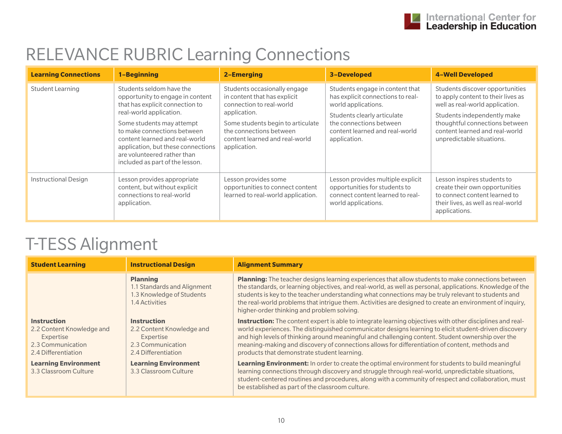## RELEVANCE RUBRIC Learning Connections

| <b>Learning Connections</b> | 1-Beginning                                                                                                                                                                                                                                                                                                                      | <b>2-Emerging</b>                                                                                                                                                                                                          | <b>3-Developed</b>                                                                                                                                                                                      | <b>4-Well Developed</b>                                                                                                                                                                                                                  |
|-----------------------------|----------------------------------------------------------------------------------------------------------------------------------------------------------------------------------------------------------------------------------------------------------------------------------------------------------------------------------|----------------------------------------------------------------------------------------------------------------------------------------------------------------------------------------------------------------------------|---------------------------------------------------------------------------------------------------------------------------------------------------------------------------------------------------------|------------------------------------------------------------------------------------------------------------------------------------------------------------------------------------------------------------------------------------------|
| <b>Student Learning</b>     | Students seldom have the<br>opportunity to engage in content<br>that has explicit connection to<br>real-world application.<br>Some students may attempt<br>to make connections between<br>content learned and real-world<br>application, but these connections<br>are volunteered rather than<br>included as part of the lesson. | Students occasionally engage<br>in content that has explicit<br>connection to real-world<br>application.<br>Some students begin to articulate<br>the connections between<br>content learned and real-world<br>application. | Students engage in content that<br>has explicit connections to real-<br>world applications.<br>Students clearly articulate<br>the connections between<br>content learned and real-world<br>application. | Students discover opportunities<br>to apply content to their lives as<br>well as real-world application.<br>Students independently make<br>thoughtful connections between<br>content learned and real-world<br>unpredictable situations. |
| <b>Instructional Design</b> | Lesson provides appropriate<br>content, but without explicit<br>connections to real-world<br>application.                                                                                                                                                                                                                        | Lesson provides some<br>opportunities to connect content<br>learned to real-world application.                                                                                                                             | Lesson provides multiple explicit<br>opportunities for students to<br>connect content learned to real-<br>world applications.                                                                           | Lesson inspires students to<br>create their own opportunities<br>to connect content learned to<br>their lives, as well as real-world<br>applications.                                                                                    |

| <b>Student Learning</b>                                                                                  | <b>Instructional Design</b>                                                                              | <b>Alignment Summary</b>                                                                                                                                                                                                                                                                                                                                                                                                                                                          |
|----------------------------------------------------------------------------------------------------------|----------------------------------------------------------------------------------------------------------|-----------------------------------------------------------------------------------------------------------------------------------------------------------------------------------------------------------------------------------------------------------------------------------------------------------------------------------------------------------------------------------------------------------------------------------------------------------------------------------|
|                                                                                                          | <b>Planning</b><br>1.1 Standards and Alignment<br>1.3 Knowledge of Students<br>1.4 Activities            | Planning: The teacher designs learning experiences that allow students to make connections between<br>the standards, or learning objectives, and real-world, as well as personal, applications. Knowledge of the<br>students is key to the teacher understanding what connections may be truly relevant to students and<br>the real-world problems that intrigue them. Activities are designed to create an environment of inquiry,<br>higher-order thinking and problem solving. |
| <b>Instruction</b><br>2.2 Content Knowledge and<br>Expertise<br>2.3 Communication<br>2.4 Differentiation | <b>Instruction</b><br>2.2 Content Knowledge and<br>Expertise<br>2.3 Communication<br>2.4 Differentiation | <b>Instruction:</b> The content expert is able to integrate learning objectives with other disciplines and real-<br>world experiences. The distinguished communicator designs learning to elicit student-driven discovery<br>and high levels of thinking around meaningful and challenging content. Student ownership over the<br>meaning-making and discovery of connections allows for differentiation of content, methods and<br>products that demonstrate student learning.   |
| <b>Learning Environment</b><br>3.3 Classroom Culture                                                     | <b>Learning Environment</b><br>3.3 Classroom Culture                                                     | Learning Environment: In order to create the optimal environment for students to build meaningful<br>learning connections through discovery and struggle through real-world, unpredictable situations,<br>student-centered routines and procedures, along with a community of respect and collaboration, must<br>be established as part of the classroom culture.                                                                                                                 |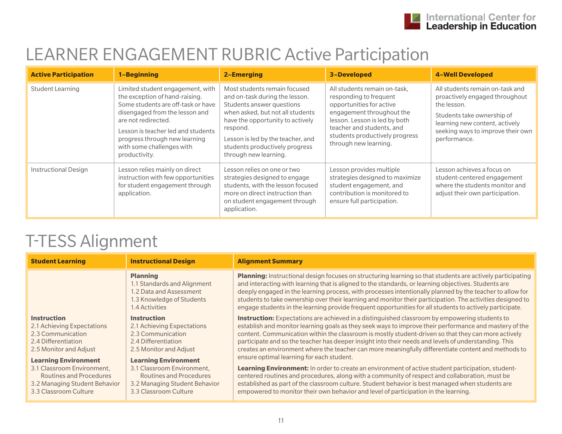#### LEARNER ENGAGEMENT RUBRIC Active Participation

| <b>Active Participation</b> | 1-Beginning                                                                                                                                                                                                                                                                            | <b>2-Emerging</b>                                                                                                                                                                                                                                                               | <b>3-Developed</b>                                                                                                                                                                                                                       | <b>4-Well Developed</b>                                                                                                                                                                               |
|-----------------------------|----------------------------------------------------------------------------------------------------------------------------------------------------------------------------------------------------------------------------------------------------------------------------------------|---------------------------------------------------------------------------------------------------------------------------------------------------------------------------------------------------------------------------------------------------------------------------------|------------------------------------------------------------------------------------------------------------------------------------------------------------------------------------------------------------------------------------------|-------------------------------------------------------------------------------------------------------------------------------------------------------------------------------------------------------|
| Student Learning            | Limited student engagement, with<br>the exception of hand-raising.<br>Some students are off-task or have<br>disengaged from the lesson and<br>are not redirected.<br>Lesson is teacher led and students<br>progress through new learning<br>with some challenges with<br>productivity. | Most students remain focused<br>and on-task during the lesson.<br>Students answer questions<br>when asked, but not all students<br>have the opportunity to actively<br>respond.<br>Lesson is led by the teacher, and<br>students productively progress<br>through new learning. | All students remain on-task,<br>responding to frequent<br>opportunities for active<br>engagement throughout the<br>lesson. Lesson is led by both<br>teacher and students, and<br>students productively progress<br>through new learning. | All students remain on-task and<br>proactively engaged throughout<br>the lesson.<br>Students take ownership of<br>learning new content, actively<br>seeking ways to improve their own<br>performance. |
| <b>Instructional Design</b> | Lesson relies mainly on direct<br>instruction with few opportunities<br>for student engagement through<br>application.                                                                                                                                                                 | Lesson relies on one or two<br>strategies designed to engage<br>students, with the lesson focused<br>more on direct instruction than<br>on student engagement through<br>application.                                                                                           | Lesson provides multiple<br>strategies designed to maximize<br>student engagement, and<br>contribution is monitored to<br>ensure full participation.                                                                                     | Lesson achieves a focus on<br>student-centered engagement<br>where the students monitor and<br>adjust their own participation.                                                                        |

| <b>Student Learning</b>       | <b>Instructional Design</b>                                                                                              | <b>Alignment Summary</b>                                                                                                                                                                                                                                                                                                                                                                                                                                                                                                                                        |
|-------------------------------|--------------------------------------------------------------------------------------------------------------------------|-----------------------------------------------------------------------------------------------------------------------------------------------------------------------------------------------------------------------------------------------------------------------------------------------------------------------------------------------------------------------------------------------------------------------------------------------------------------------------------------------------------------------------------------------------------------|
|                               | <b>Planning</b><br>1.1 Standards and Alignment<br>1.2 Data and Assessment<br>1.3 Knowledge of Students<br>1.4 Activities | <b>Planning:</b> Instructional design focuses on structuring learning so that students are actively participating<br>and interacting with learning that is aligned to the standards, or learning objectives. Students are<br>deeply engaged in the learning process, with processes intentionally planned by the teacher to allow for<br>students to take ownership over their learning and monitor their participation. The activities designed to<br>engage students in the learning provide frequent opportunities for all students to actively participate. |
| <b>Instruction</b>            | <b>Instruction</b>                                                                                                       | Instruction: Expectations are achieved in a distinguished classroom by empowering students to                                                                                                                                                                                                                                                                                                                                                                                                                                                                   |
| 2.1 Achieving Expectations    | 2.1 Achieving Expectations                                                                                               | establish and monitor learning goals as they seek ways to improve their performance and mastery of the                                                                                                                                                                                                                                                                                                                                                                                                                                                          |
| 2.3 Communication             | 2.3 Communication                                                                                                        | content. Communication within the classroom is mostly student-driven so that they can more actively                                                                                                                                                                                                                                                                                                                                                                                                                                                             |
| 2.4 Differentiation           | 2.4 Differentiation                                                                                                      | participate and so the teacher has deeper insight into their needs and levels of understanding. This                                                                                                                                                                                                                                                                                                                                                                                                                                                            |
| 2.5 Monitor and Adjust        | 2.5 Monitor and Adjust                                                                                                   | creates an environment where the teacher can more meaningfully differentiate content and methods to                                                                                                                                                                                                                                                                                                                                                                                                                                                             |
| <b>Learning Environment</b>   | <b>Learning Environment</b>                                                                                              | ensure optimal learning for each student.                                                                                                                                                                                                                                                                                                                                                                                                                                                                                                                       |
| 3.1 Classroom Environment,    | 3.1 Classroom Environment,                                                                                               | <b>Learning Environment:</b> In order to create an environment of active student participation, student-                                                                                                                                                                                                                                                                                                                                                                                                                                                        |
| Routines and Procedures       | Routines and Procedures                                                                                                  | centered routines and procedures, along with a community of respect and collaboration, must be                                                                                                                                                                                                                                                                                                                                                                                                                                                                  |
| 3.2 Managing Student Behavior | 3.2 Managing Student Behavior                                                                                            | established as part of the classroom culture. Student behavior is best managed when students are                                                                                                                                                                                                                                                                                                                                                                                                                                                                |
| 3.3 Classroom Culture         | 3.3 Classroom Culture                                                                                                    | empowered to monitor their own behavior and level of participation in the learning.                                                                                                                                                                                                                                                                                                                                                                                                                                                                             |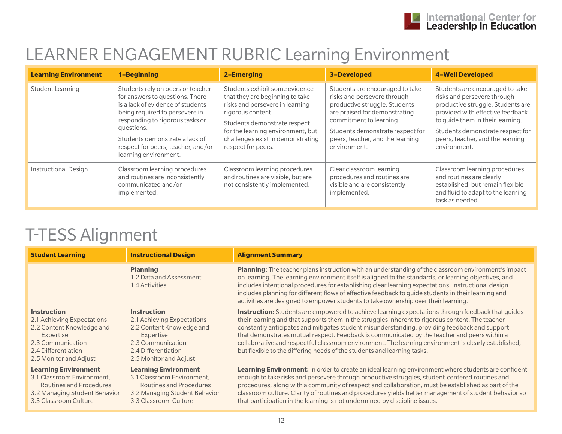### LEARNER ENGAGEMENT RUBRIC Learning Environment

| <b>Learning Environment</b> | 1-Beginning                                                                                                                                                                                                                                                                                   | 2-Emerging                                                                                                                                                                                                                                                | 3-Developed                                                                                                                                                                                                                                         | <b>4-Well Developed</b>                                                                                                                                                                                                                                             |
|-----------------------------|-----------------------------------------------------------------------------------------------------------------------------------------------------------------------------------------------------------------------------------------------------------------------------------------------|-----------------------------------------------------------------------------------------------------------------------------------------------------------------------------------------------------------------------------------------------------------|-----------------------------------------------------------------------------------------------------------------------------------------------------------------------------------------------------------------------------------------------------|---------------------------------------------------------------------------------------------------------------------------------------------------------------------------------------------------------------------------------------------------------------------|
| Student Learning            | Students rely on peers or teacher<br>for answers to questions. There<br>is a lack of evidence of students<br>being required to persevere in<br>responding to rigorous tasks or<br>questions.<br>Students demonstrate a lack of<br>respect for peers, teacher, and/or<br>learning environment. | Students exhibit some evidence<br>that they are beginning to take<br>risks and persevere in learning<br>rigorous content.<br>Students demonstrate respect<br>for the learning environment, but<br>challenges exist in demonstrating<br>respect for peers. | Students are encouraged to take<br>risks and persevere through<br>productive struggle. Students<br>are praised for demonstrating<br>commitment to learning.<br>Students demonstrate respect for<br>peers, teacher, and the learning<br>environment. | Students are encouraged to take<br>risks and persevere through<br>productive struggle. Students are<br>provided with effective feedback<br>to quide them in their learning.<br>Students demonstrate respect for<br>peers, teacher, and the learning<br>environment. |
| <b>Instructional Design</b> | Classroom learning procedures<br>and routines are inconsistently<br>communicated and/or<br>implemented.                                                                                                                                                                                       | Classroom learning procedures<br>and routines are visible, but are<br>not consistently implemented.                                                                                                                                                       | Clear classroom learning<br>procedures and routines are<br>visible and are consistently<br>implemented.                                                                                                                                             | Classroom learning procedures<br>and routines are clearly<br>established, but remain flexible<br>and fluid to adapt to the learning<br>task as needed.                                                                                                              |

| <b>Student Learning</b>                                                                                                                                          | <b>Instructional Design</b>                                                                                                                                      | <b>Alignment Summary</b>                                                                                                                                                                                                                                                                                                                                                                                                                                                                                                                                                                         |
|------------------------------------------------------------------------------------------------------------------------------------------------------------------|------------------------------------------------------------------------------------------------------------------------------------------------------------------|--------------------------------------------------------------------------------------------------------------------------------------------------------------------------------------------------------------------------------------------------------------------------------------------------------------------------------------------------------------------------------------------------------------------------------------------------------------------------------------------------------------------------------------------------------------------------------------------------|
|                                                                                                                                                                  | <b>Planning</b><br>1.2 Data and Assessment<br>1.4 Activities                                                                                                     | Planning: The teacher plans instruction with an understanding of the classroom environment's impact<br>on learning. The learning environment itself is aligned to the standards, or learning objectives, and<br>includes intentional procedures for establishing clear learning expectations. Instructional design<br>includes planning for different flows of effective feedback to guide students in their learning and<br>activities are designed to empower students to take ownership over their learning.                                                                                  |
| <b>Instruction</b><br>2.1 Achieving Expectations<br>2.2 Content Knowledge and<br>Expertise<br>2.3 Communication<br>2.4 Differentiation<br>2.5 Monitor and Adjust | <b>Instruction</b><br>2.1 Achieving Expectations<br>2.2 Content Knowledge and<br>Expertise<br>2.3 Communication<br>2.4 Differentiation<br>2.5 Monitor and Adjust | <b>Instruction:</b> Students are empowered to achieve learning expectations through feedback that guides<br>their learning and that supports them in the struggles inherent to rigorous content. The teacher<br>constantly anticipates and mitigates student misunderstanding, providing feedback and support<br>that demonstrates mutual respect. Feedback is communicated by the teacher and peers within a<br>collaborative and respectful classroom environment. The learning environment is clearly established,<br>but flexible to the differing needs of the students and learning tasks. |
| <b>Learning Environment</b><br>3.1 Classroom Environment.<br>Routines and Procedures<br>3.2 Managing Student Behavior<br>3.3 Classroom Culture                   | <b>Learning Environment</b><br>3.1 Classroom Environment,<br>Routines and Procedures<br>3.2 Managing Student Behavior<br>3.3 Classroom Culture                   | Learning Environment: In order to create an ideal learning environment where students are confident<br>enough to take risks and persevere through productive struggles, student-centered routines and<br>procedures, along with a community of respect and collaboration, must be established as part of the<br>classroom culture. Clarity of routines and procedures yields better management of student behavior so<br>that participation in the learning is not undermined by discipline issues.                                                                                              |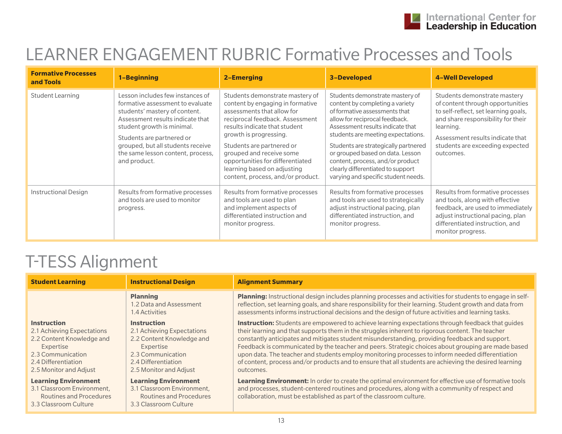## LEARNER ENGAGEMENT RUBRIC Formative Processes and Tools

| <b>Formative Processes</b><br>and Tools | 1-Beginning                                                                                                                                                                                                                                                                                    | 2-Emerging                                                                                                                                                                                                                                                                                                                                                       | <b>3-Developed</b>                                                                                                                                                                                                                                                                                                                                                                                          | <b>4-Well Developed</b>                                                                                                                                                                                                                         |
|-----------------------------------------|------------------------------------------------------------------------------------------------------------------------------------------------------------------------------------------------------------------------------------------------------------------------------------------------|------------------------------------------------------------------------------------------------------------------------------------------------------------------------------------------------------------------------------------------------------------------------------------------------------------------------------------------------------------------|-------------------------------------------------------------------------------------------------------------------------------------------------------------------------------------------------------------------------------------------------------------------------------------------------------------------------------------------------------------------------------------------------------------|-------------------------------------------------------------------------------------------------------------------------------------------------------------------------------------------------------------------------------------------------|
| Student Learning                        | Lesson includes few instances of<br>formative assessment to evaluate<br>students' mastery of content.<br>Assessment results indicate that<br>student growth is minimal.<br>Students are partnered or<br>grouped, but all students receive<br>the same lesson content, process,<br>and product. | Students demonstrate mastery of<br>content by engaging in formative<br>assessments that allow for<br>reciprocal feedback. Assessment<br>results indicate that student<br>growth is progressing.<br>Students are partnered or<br>grouped and receive some<br>opportunities for differentiated<br>learning based on adjusting<br>content, process, and/or product. | Students demonstrate mastery of<br>content by completing a variety<br>of formative assessments that<br>allow for reciprocal feedback.<br>Assessment results indicate that<br>students are meeting expectations.<br>Students are strategically partnered<br>or grouped based on data. Lesson<br>content, process, and/or product<br>clearly differentiated to support<br>varying and specific student needs. | Students demonstrate mastery<br>of content through opportunities<br>to self-reflect, set learning goals,<br>and share responsibility for their<br>learning.<br>Assessment results indicate that<br>students are exceeding expected<br>outcomes. |
| <b>Instructional Design</b>             | Results from formative processes<br>and tools are used to monitor<br>progress.                                                                                                                                                                                                                 | Results from formative processes<br>and tools are used to plan<br>and implement aspects of<br>differentiated instruction and<br>monitor progress.                                                                                                                                                                                                                | Results from formative processes<br>and tools are used to strategically<br>adjust instructional pacing, plan<br>differentiated instruction, and<br>monitor progress.                                                                                                                                                                                                                                        | Results from formative processes<br>and tools, along with effective<br>feedback, are used to immediately<br>adjust instructional pacing, plan<br>differentiated instruction, and<br>monitor progress.                                           |

| <b>Student Learning</b>                                                                                                                                          | <b>Instructional Design</b>                                                                                                                                      | <b>Alignment Summary</b>                                                                                                                                                                                                                                                                                                                                                                                                                                                                                                                                                                                                                        |
|------------------------------------------------------------------------------------------------------------------------------------------------------------------|------------------------------------------------------------------------------------------------------------------------------------------------------------------|-------------------------------------------------------------------------------------------------------------------------------------------------------------------------------------------------------------------------------------------------------------------------------------------------------------------------------------------------------------------------------------------------------------------------------------------------------------------------------------------------------------------------------------------------------------------------------------------------------------------------------------------------|
|                                                                                                                                                                  | <b>Planning</b><br>1.2 Data and Assessment<br>1.4 Activities                                                                                                     | Planning: Instructional design includes planning processes and activities for students to engage in self-<br>reflection, set learning goals, and share responsibility for their learning. Student growth and data from<br>assessments informs instructional decisions and the design of future activities and learning tasks.                                                                                                                                                                                                                                                                                                                   |
| <b>Instruction</b><br>2.1 Achieving Expectations<br>2.2 Content Knowledge and<br>Expertise<br>2.3 Communication<br>2.4 Differentiation<br>2.5 Monitor and Adjust | <b>Instruction</b><br>2.1 Achieving Expectations<br>2.2 Content Knowledge and<br>Expertise<br>2.3 Communication<br>2.4 Differentiation<br>2.5 Monitor and Adjust | <b>Instruction:</b> Students are empowered to achieve learning expectations through feedback that guides<br>their learning and that supports them in the struggles inherent to rigorous content. The teacher<br>constantly anticipates and mitigates student misunderstanding, providing feedback and support.<br>Feedback is communicated by the teacher and peers. Strategic choices about grouping are made based<br>upon data. The teacher and students employ monitoring processes to inform needed differentiation<br>of content, process and/or products and to ensure that all students are achieving the desired learning<br>outcomes. |
| <b>Learning Environment</b><br>3.1 Classroom Environment,<br><b>Routines and Procedures</b><br>3.3 Classroom Culture                                             | <b>Learning Environment</b><br>3.1 Classroom Environment,<br>Routines and Procedures<br>3.3 Classroom Culture                                                    | Learning Environment: In order to create the optimal environment for effective use of formative tools<br>and processes, student-centered routines and procedures, along with a community of respect and<br>collaboration, must be established as part of the classroom culture.                                                                                                                                                                                                                                                                                                                                                                 |